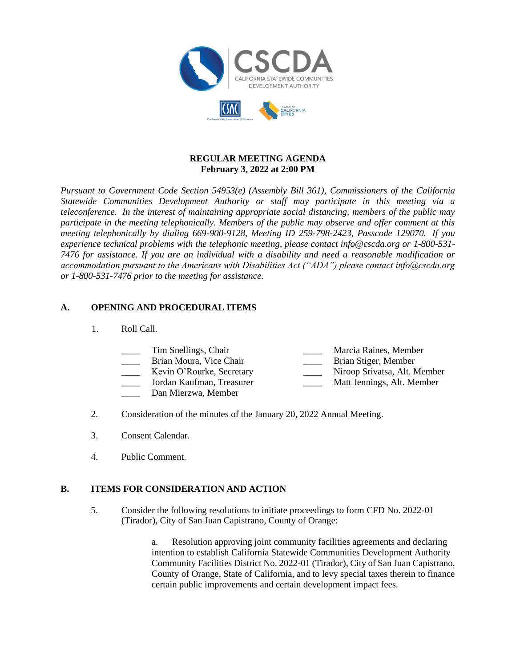

#### **REGULAR MEETING AGENDA February 3, 2022 at 2:00 PM**

*Pursuant to Government Code Section 54953(e) (Assembly Bill 361), Commissioners of the California Statewide Communities Development Authority or staff may participate in this meeting via a teleconference. In the interest of maintaining appropriate social distancing, members of the public may participate in the meeting telephonically. Members of the public may observe and offer comment at this meeting telephonically by dialing 669-900-9128, Meeting ID 259-798-2423, Passcode 129070. If you experience technical problems with the telephonic meeting, please contact info@cscda.org or 1-800-531- 7476 for assistance. If you are an individual with a disability and need a reasonable modification or accommodation pursuant to the Americans with Disabilities Act ("ADA") please contact info@cscda.org or 1-800-531-7476 prior to the meeting for assistance.*

## **A. OPENING AND PROCEDURAL ITEMS**

- 1. Roll Call.
	- Tim Snellings, Chair **Marcia Raines**, Member
	-
	-
	-
	- Dan Mierzwa, Member
- 
- Brian Moura, Vice Chair **Drift Brian Stiger**, Member
- Kevin O'Rourke, Secretary Niroop Srivatsa, Alt. Member
- \_\_\_\_ Jordan Kaufman, Treasurer \_\_\_\_ Matt Jennings, Alt. Member
- 
- 
- 2. Consideration of the minutes of the January 20, 2022 Annual Meeting.
- 3. Consent Calendar.
- 4. Public Comment.

## **B. ITEMS FOR CONSIDERATION AND ACTION**

5. Consider the following resolutions to initiate proceedings to form CFD No. 2022-01 (Tirador), City of San Juan Capistrano, County of Orange:

> a. Resolution approving joint community facilities agreements and declaring intention to establish California Statewide Communities Development Authority Community Facilities District No. 2022-01 (Tirador), City of San Juan Capistrano, County of Orange, State of California, and to levy special taxes therein to finance certain public improvements and certain development impact fees.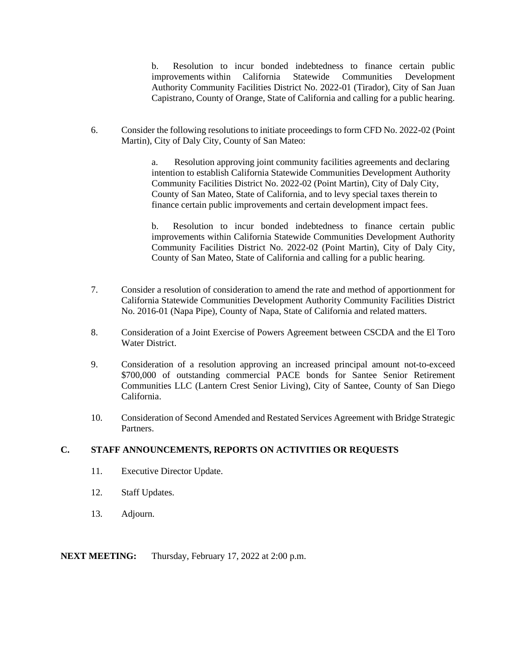b. Resolution to incur bonded indebtedness to finance certain public improvements within California Statewide Communities Development Authority Community Facilities District No. 2022-01 (Tirador), City of San Juan Capistrano, County of Orange, State of California and calling for a public hearing.

6. Consider the following resolutions to initiate proceedings to form CFD No. 2022-02 (Point Martin), City of Daly City, County of San Mateo:

> a. Resolution approving joint community facilities agreements and declaring intention to establish California Statewide Communities Development Authority Community Facilities District No. 2022-02 (Point Martin), City of Daly City, County of San Mateo, State of California, and to levy special taxes therein to finance certain public improvements and certain development impact fees.

b. Resolution to incur bonded indebtedness to finance certain public improvements within California Statewide Communities Development Authority Community Facilities District No. 2022-02 (Point Martin), City of Daly City, County of San Mateo, State of California and calling for a public hearing.

- 7. Consider a resolution of consideration to amend the rate and method of apportionment for California Statewide Communities Development Authority Community Facilities District No. 2016-01 (Napa Pipe), County of Napa, State of California and related matters.
- 8. Consideration of a Joint Exercise of Powers Agreement between CSCDA and the El Toro Water District.
- 9. Consideration of a resolution approving an increased principal amount not-to-exceed \$700,000 of outstanding commercial PACE bonds for Santee Senior Retirement Communities LLC (Lantern Crest Senior Living), City of Santee, County of San Diego California.
- 10. Consideration of Second Amended and Restated Services Agreement with Bridge Strategic Partners.

#### **C. STAFF ANNOUNCEMENTS, REPORTS ON ACTIVITIES OR REQUESTS**

- 11. Executive Director Update.
- 12. Staff Updates.
- 13. Adjourn.

**NEXT MEETING:** Thursday, February 17, 2022 at 2:00 p.m.